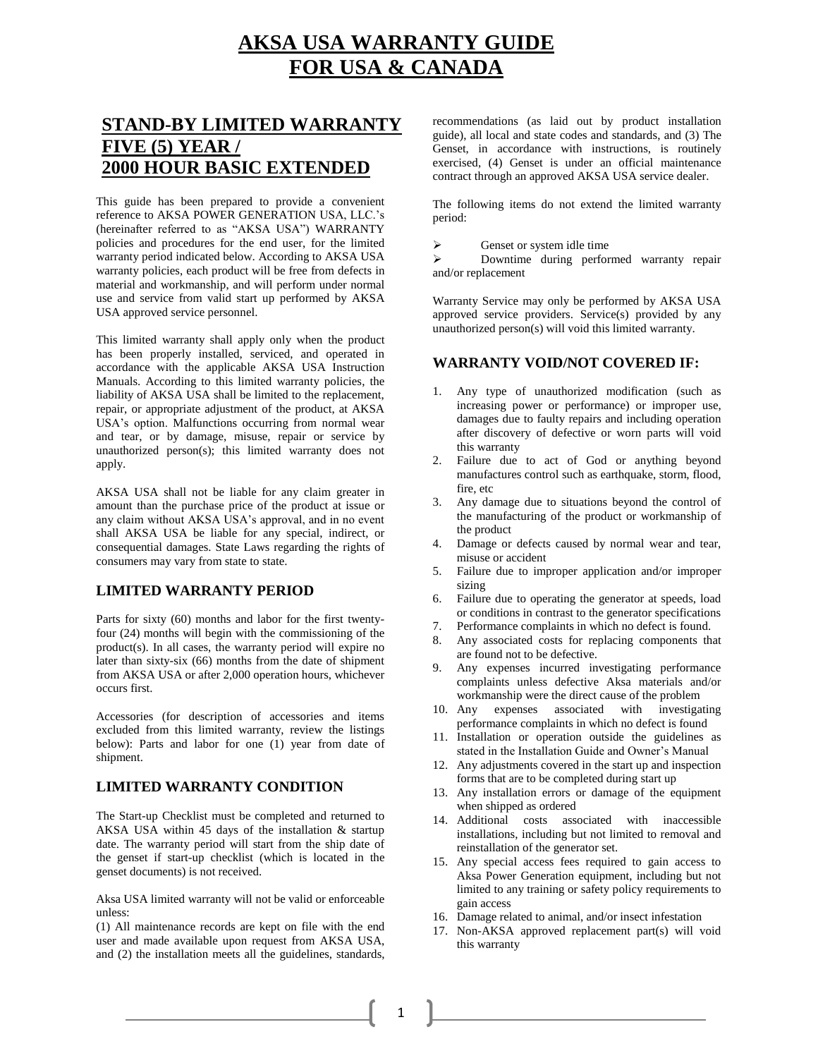# **AKSA USA WARRANTY GUIDE FOR USA & CANADA**

# **STAND-BY LIMITED WARRANTY FIVE (5) YEAR / 2000 HOUR BASIC EXTENDED**

This guide has been prepared to provide a convenient reference to AKSA POWER GENERATION USA, LLC.'s (hereinafter referred to as "AKSA USA") WARRANTY policies and procedures for the end user, for the limited warranty period indicated below. According to AKSA USA warranty policies, each product will be free from defects in material and workmanship, and will perform under normal use and service from valid start up performed by AKSA USA approved service personnel.

This limited warranty shall apply only when the product has been properly installed, serviced, and operated in accordance with the applicable AKSA USA Instruction Manuals. According to this limited warranty policies, the liability of AKSA USA shall be limited to the replacement, repair, or appropriate adjustment of the product, at AKSA USA's option. Malfunctions occurring from normal wear and tear, or by damage, misuse, repair or service by unauthorized person(s); this limited warranty does not apply.

AKSA USA shall not be liable for any claim greater in amount than the purchase price of the product at issue or any claim without AKSA USA's approval, and in no event shall AKSA USA be liable for any special, indirect, or consequential damages. State Laws regarding the rights of consumers may vary from state to state.

### **LIMITED WARRANTY PERIOD**

Parts for sixty (60) months and labor for the first twentyfour (24) months will begin with the commissioning of the product(s). In all cases, the warranty period will expire no later than sixty-six (66) months from the date of shipment from AKSA USA or after 2,000 operation hours, whichever occurs first.

Accessories (for description of accessories and items excluded from this limited warranty, review the listings below): Parts and labor for one (1) year from date of shipment.

# **LIMITED WARRANTY CONDITION**

The Start-up Checklist must be completed and returned to AKSA USA within 45 days of the installation & startup date. The warranty period will start from the ship date of the genset if start-up checklist (which is located in the genset documents) is not received.

Aksa USA limited warranty will not be valid or enforceable unless:

(1) All maintenance records are kept on file with the end user and made available upon request from AKSA USA, and (2) the installation meets all the guidelines, standards, recommendations (as laid out by product installation guide), all local and state codes and standards, and (3) The Genset, in accordance with instructions, is routinely exercised, (4) Genset is under an official maintenance contract through an approved AKSA USA service dealer.

The following items do not extend the limited warranty period:

 $\triangleright$  Genset or system idle time<br> $\triangleright$  Downtime during perfor

 Downtime during performed warranty repair and/or replacement

Warranty Service may only be performed by AKSA USA approved service providers. Service(s) provided by any unauthorized person(s) will void this limited warranty.

## **WARRANTY VOID/NOT COVERED IF:**

- 1. Any type of unauthorized modification (such as increasing power or performance) or improper use, damages due to faulty repairs and including operation after discovery of defective or worn parts will void this warranty
- 2. Failure due to act of God or anything beyond manufactures control such as earthquake, storm, flood, fire, etc
- 3. Any damage due to situations beyond the control of the manufacturing of the product or workmanship of the product
- 4. Damage or defects caused by normal wear and tear, misuse or accident
- 5. Failure due to improper application and/or improper sizing
- 6. Failure due to operating the generator at speeds, load or conditions in contrast to the generator specifications
- 7. Performance complaints in which no defect is found.
- 8. Any associated costs for replacing components that are found not to be defective.
- 9. Any expenses incurred investigating performance complaints unless defective Aksa materials and/or workmanship were the direct cause of the problem
- 10. Any expenses associated with investigating performance complaints in which no defect is found
- 11. Installation or operation outside the guidelines as stated in the Installation Guide and Owner's Manual
- 12. Any adjustments covered in the start up and inspection forms that are to be completed during start up
- 13. Any installation errors or damage of the equipment when shipped as ordered
- 14. Additional costs associated with inaccessible installations, including but not limited to removal and reinstallation of the generator set.
- 15. Any special access fees required to gain access to Aksa Power Generation equipment, including but not limited to any training or safety policy requirements to gain access
- 16. Damage related to animal, and/or insect infestation
- 17. Non-AKSA approved replacement part(s) will void this warranty

1